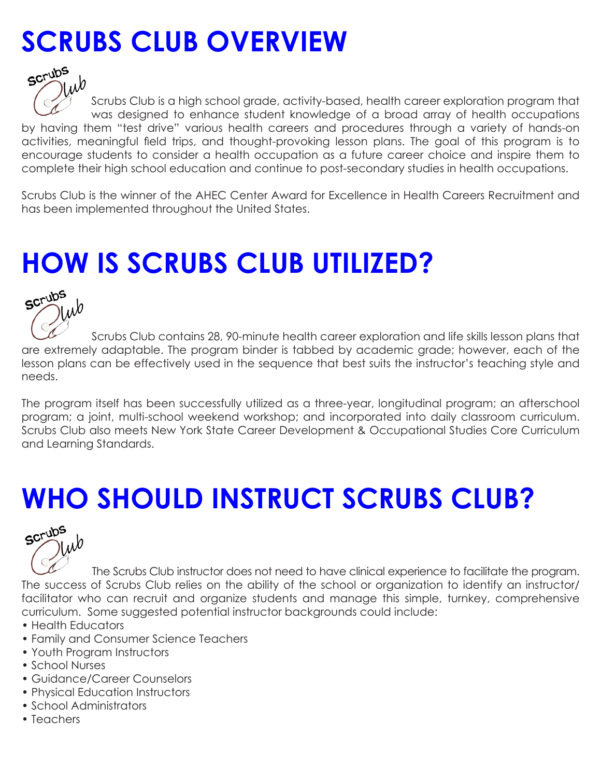## **SCRUBS CLUB OVERVIEW**



Scrubs Club is a high school grade, activity-based, health career exploration program that was designed to enhance student knowledge of a broad array of health occupations by having them "test drive" various health careers and procedures through a variety of hands-on activities, meaningful field trips, and thought-provoking lesson plans. The goal of this program is to encourage students to consider a health occupation as a future career choice and inspire them to complete their high school education and continue to post-secondary studies in health occupations.

Scrubs Club is the winner of the AHEC Center Award for Excellence in Health Careers Recruitment and has been implemented throughout the United States.

## **HOW IS SCRUBS CLUB UTILIZED?**



 Scrubs Club contains 28, 90-minute health career exploration and life skills lesson plans that are extremely adaptable. The program binder is tabbed by academic grade; however, each of the lesson plans can be effectively used in the sequence that best suits the instructor's teaching style and needs.

The program itself has been successfully utilized as a three-year, longitudinal program; an afterschool program; a joint, multi-school weekend workshop; and incorporated into daily classroom curriculum. Scrubs Club also meets New York State Career Development & Occupational Studies Core Curriculum and Learning Standards.

## **WHO SHOULD INSTRUCT SCRUBS CLUB?**



 The Scrubs Club instructor does not need to have clinical experience to facilitate the program. The success of Scrubs Club relies on the ability of the school or organization to identify an instructor/ facilitator who can recruit and organize students and manage this simple, turnkey, comprehensive curriculum. Some suggested potential instructor backgrounds could include:

- Health Educators
- Family and Consumer Science Teachers
- Youth Program Instructors
- School Nurses
- Guidance/Career Counselors
- Physical Education Instructors
- School Administrators
- Teachers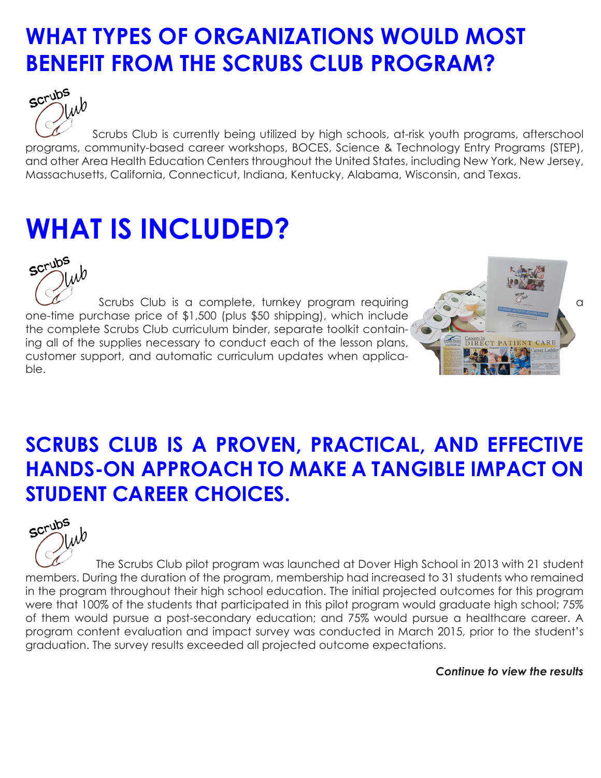### **WHAT TYPES OF ORGANIZATIONS WOULD MOST BENEFIT FROM THE SCRUBS CLUB PROGRAM?**



Scrubs Club is currently being utilized by high schools, at-risk youth programs, afterschool programs, community-based career workshops, BOCES, Science & Technology Entry Programs (STEP), and other Area Health Education Centers throughout the United States, including New York, New Jersey, Massachusetts, California, Connecticut, Indiana, Kentucky, Alabama, Wisconsin, and Texas.

## **WHAT IS INCLUDED?**



Scrubs Club is a complete, turnkey program requiring and the state of a series of a one-time purchase price of \$1,500 (plus \$50 shipping), which include the complete Scrubs Club curriculum binder, separate toolkit containing all of the supplies necessary to conduct each of the lesson plans, customer support, and automatic curriculum updates when applicable.



### **SCRUBS CLUB IS A PROVEN, PRACTICAL, AND EFFECTIVE HANDS-ON APPROACH TO MAKE A TANGIBLE IMPACT ON STUDENT CAREER CHOICES.**



 The Scrubs Club pilot program was launched at Dover High School in 2013 with 21 student members. During the duration of the program, membership had increased to 31 students who remained in the program throughout their high school education. The initial projected outcomes for this program were that 100% of the students that participated in this pilot program would graduate high school; 75% of them would pursue a post-secondary education; and 75% would pursue a healthcare career. A program content evaluation and impact survey was conducted in March 2015, prior to the student's graduation. The survey results exceeded all projected outcome expectations.

*Continue to view the results*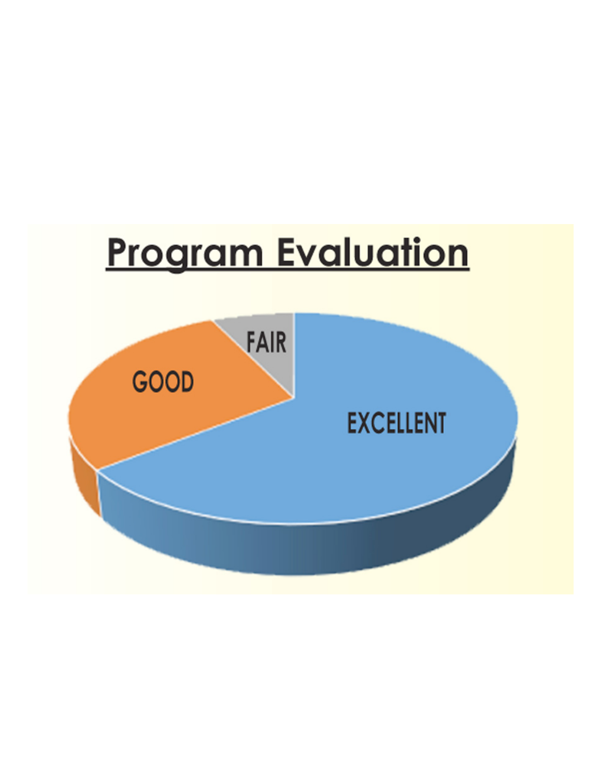# **Program Evaluation**

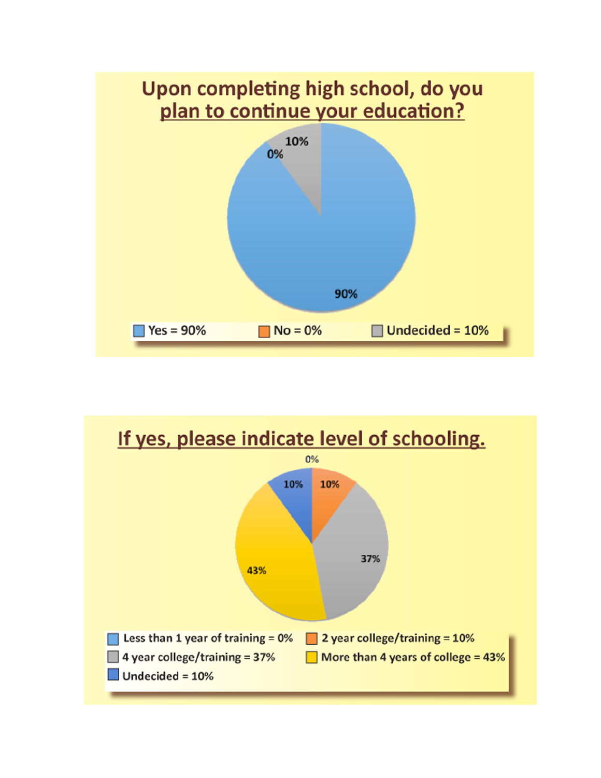

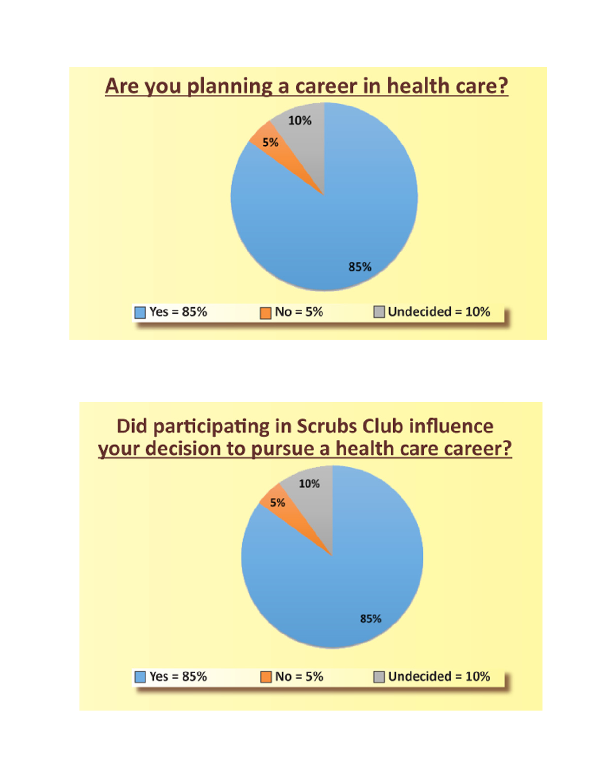